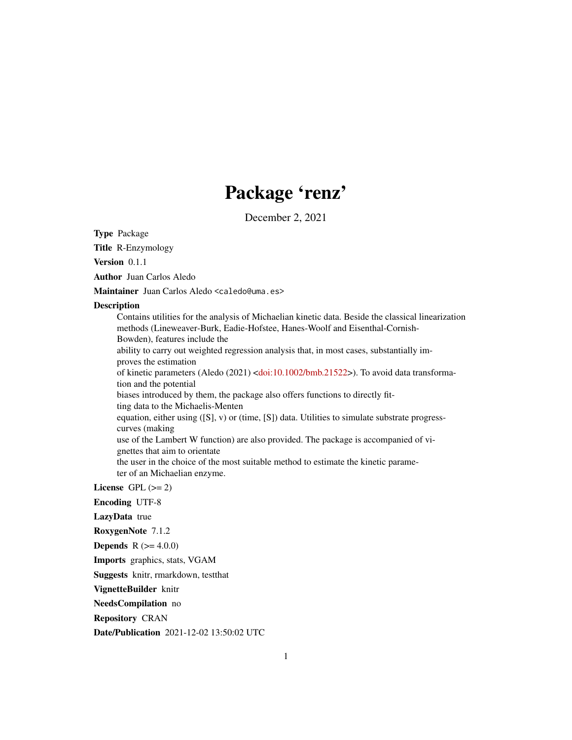## Package 'renz'

December 2, 2021

Type Package

Title R-Enzymology

Version 0.1.1

Author Juan Carlos Aledo

Maintainer Juan Carlos Aledo <caledo@uma.es>

#### Description

Contains utilities for the analysis of Michaelian kinetic data. Beside the classical linearization methods (Lineweaver-Burk, Eadie-Hofstee, Hanes-Woolf and Eisenthal-Cornish-Bowden), features include the ability to carry out weighted regression analysis that, in most cases, substantially improves the estimation of kinetic parameters (Aledo (2021) [<doi:10.1002/bmb.21522>](https://doi.org/10.1002/bmb.21522)). To avoid data transformation and the potential biases introduced by them, the package also offers functions to directly fitting data to the Michaelis-Menten equation, either using ([S], v) or (time, [S]) data. Utilities to simulate substrate progresscurves (making use of the Lambert W function) are also provided. The package is accompanied of vignettes that aim to orientate the user in the choice of the most suitable method to estimate the kinetic parameter of an Michaelian enzyme.

License GPL  $(>= 2)$ 

Encoding UTF-8

LazyData true

RoxygenNote 7.1.2

**Depends**  $R (= 4.0.0)$ 

Imports graphics, stats, VGAM

Suggests knitr, rmarkdown, testthat

VignetteBuilder knitr

NeedsCompilation no

Repository CRAN

Date/Publication 2021-12-02 13:50:02 UTC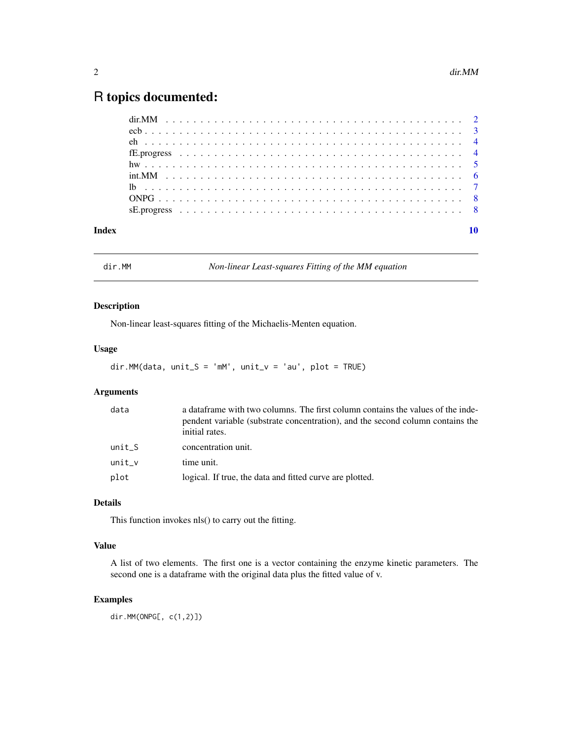## <span id="page-1-0"></span>R topics documented:

| Index |  |  |  |  |  |  |  |  |  |  |  |  |  |  |  |  |  |  |  |  |  |  |
|-------|--|--|--|--|--|--|--|--|--|--|--|--|--|--|--|--|--|--|--|--|--|--|
|       |  |  |  |  |  |  |  |  |  |  |  |  |  |  |  |  |  |  |  |  |  |  |
|       |  |  |  |  |  |  |  |  |  |  |  |  |  |  |  |  |  |  |  |  |  |  |
|       |  |  |  |  |  |  |  |  |  |  |  |  |  |  |  |  |  |  |  |  |  |  |
|       |  |  |  |  |  |  |  |  |  |  |  |  |  |  |  |  |  |  |  |  |  |  |
|       |  |  |  |  |  |  |  |  |  |  |  |  |  |  |  |  |  |  |  |  |  |  |
|       |  |  |  |  |  |  |  |  |  |  |  |  |  |  |  |  |  |  |  |  |  |  |
|       |  |  |  |  |  |  |  |  |  |  |  |  |  |  |  |  |  |  |  |  |  |  |
|       |  |  |  |  |  |  |  |  |  |  |  |  |  |  |  |  |  |  |  |  |  |  |
|       |  |  |  |  |  |  |  |  |  |  |  |  |  |  |  |  |  |  |  |  |  |  |

dir.MM *Non-linear Least-squares Fitting of the MM equation*

#### Description

Non-linear least-squares fitting of the Michaelis-Menten equation.

#### Usage

```
dir.MM(data, unit_S = 'mM', unit_v = 'au', plot = TRUE)
```
#### Arguments

| data   | a dataframe with two columns. The first column contains the values of the inde-<br>pendent variable (substrate concentration), and the second column contains the<br>initial rates. |
|--------|-------------------------------------------------------------------------------------------------------------------------------------------------------------------------------------|
| unit S | concentration unit.                                                                                                                                                                 |
| unit v | time unit.                                                                                                                                                                          |
| plot   | logical. If true, the data and fitted curve are plotted.                                                                                                                            |

#### Details

This function invokes nls() to carry out the fitting.

#### Value

A list of two elements. The first one is a vector containing the enzyme kinetic parameters. The second one is a dataframe with the original data plus the fitted value of v.

#### Examples

dir.MM(ONPG[, c(1,2)])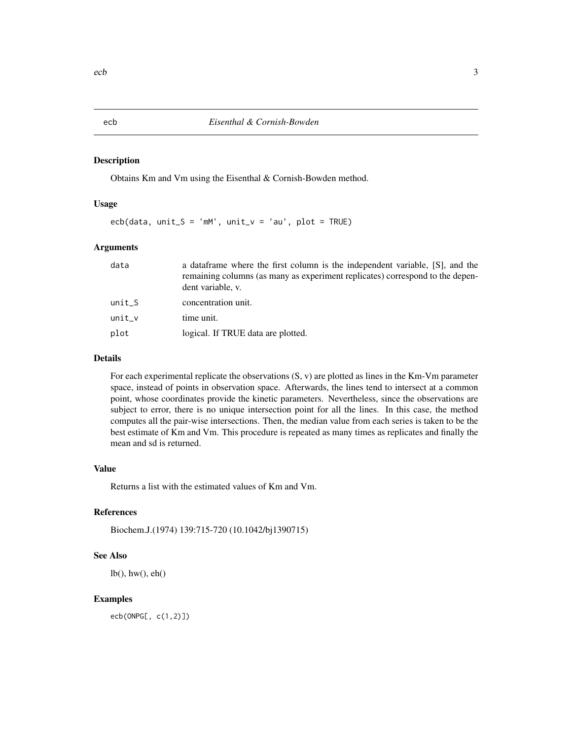#### Description

Obtains Km and Vm using the Eisenthal & Cornish-Bowden method.

#### Usage

 $ecb(data, unit_S = 'mM', unit_v = 'au', plot = TRUE)$ 

#### Arguments

| data     | a data frame where the first column is the independent variable, [S], and the<br>remaining columns (as many as experiment replicates) correspond to the depen-<br>dent variable, v. |
|----------|-------------------------------------------------------------------------------------------------------------------------------------------------------------------------------------|
| $unit_S$ | concentration unit.                                                                                                                                                                 |
| $unit_v$ | time unit.                                                                                                                                                                          |
| plot     | logical. If TRUE data are plotted.                                                                                                                                                  |

#### Details

For each experimental replicate the observations  $(S, v)$  are plotted as lines in the Km-Vm parameter space, instead of points in observation space. Afterwards, the lines tend to intersect at a common point, whose coordinates provide the kinetic parameters. Nevertheless, since the observations are subject to error, there is no unique intersection point for all the lines. In this case, the method computes all the pair-wise intersections. Then, the median value from each series is taken to be the best estimate of Km and Vm. This procedure is repeated as many times as replicates and finally the mean and sd is returned.

#### Value

Returns a list with the estimated values of Km and Vm.

#### References

Biochem.J.(1974) 139:715-720 (10.1042/bj1390715)

#### See Also

lb(), hw(), eh()

#### Examples

ecb(ONPG[, c(1,2)])

<span id="page-2-0"></span>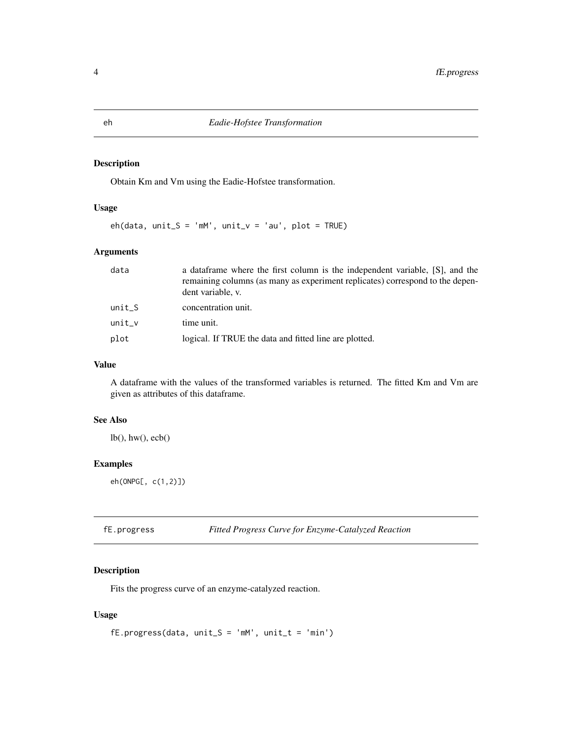#### <span id="page-3-0"></span>Description

Obtain Km and Vm using the Eadie-Hofstee transformation.

#### Usage

 $eh(data, unit_S = 'mM', unit_v = 'au', plot = TRUE)$ 

#### Arguments

| data      | a data frame where the first column is the independent variable, [S], and the<br>remaining columns (as many as experiment replicates) correspond to the depen-<br>dent variable, v. |
|-----------|-------------------------------------------------------------------------------------------------------------------------------------------------------------------------------------|
| unit S    | concentration unit.                                                                                                                                                                 |
| unit_ $v$ | time unit.                                                                                                                                                                          |
| plot      | logical. If TRUE the data and fitted line are plotted.                                                                                                                              |

#### Value

A dataframe with the values of the transformed variables is returned. The fitted Km and Vm are given as attributes of this dataframe.

#### See Also

lb(), hw(), ecb()

#### Examples

eh(ONPG[, c(1,2)])

| fE.progress |  |  |  | <b>Fitted Progress Curve for Enzyme-Catalyzed Reaction</b> |
|-------------|--|--|--|------------------------------------------------------------|
|-------------|--|--|--|------------------------------------------------------------|

#### Description

Fits the progress curve of an enzyme-catalyzed reaction.

#### Usage

```
fE.progress(data, unit_S = 'mM', unit_t = 'min')
```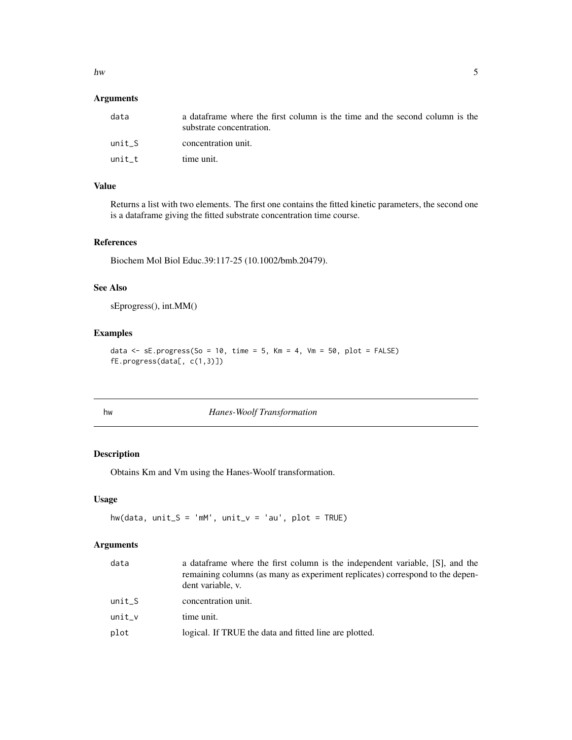#### <span id="page-4-0"></span> $h_{\rm W}$  5

#### Arguments

| data   | a dataframe where the first column is the time and the second column is the<br>substrate concentration. |
|--------|---------------------------------------------------------------------------------------------------------|
| unit S | concentration unit.                                                                                     |
| unit t | time unit.                                                                                              |

### Value

Returns a list with two elements. The first one contains the fitted kinetic parameters, the second one is a dataframe giving the fitted substrate concentration time course.

#### References

Biochem Mol Biol Educ.39:117-25 (10.1002/bmb.20479).

#### See Also

sEprogress(), int.MM()

#### Examples

```
data \leq sE.progress(So = 10, time = 5, Km = 4, Vm = 50, plot = FALSE)
fE.progress(data[, c(1,3)])
```
hw *Hanes-Woolf Transformation*

#### Description

Obtains Km and Vm using the Hanes-Woolf transformation.

#### Usage

 $hw(data, unit_S = 'mM', unit_v = 'au', plot = TRUE)$ 

#### Arguments

| data     | a data frame where the first column is the independent variable, [S], and the<br>remaining columns (as many as experiment replicates) correspond to the depen-<br>dent variable, v. |
|----------|-------------------------------------------------------------------------------------------------------------------------------------------------------------------------------------|
| $unit_S$ | concentration unit.                                                                                                                                                                 |
| $unit_v$ | time unit.                                                                                                                                                                          |
| plot     | logical. If TRUE the data and fitted line are plotted.                                                                                                                              |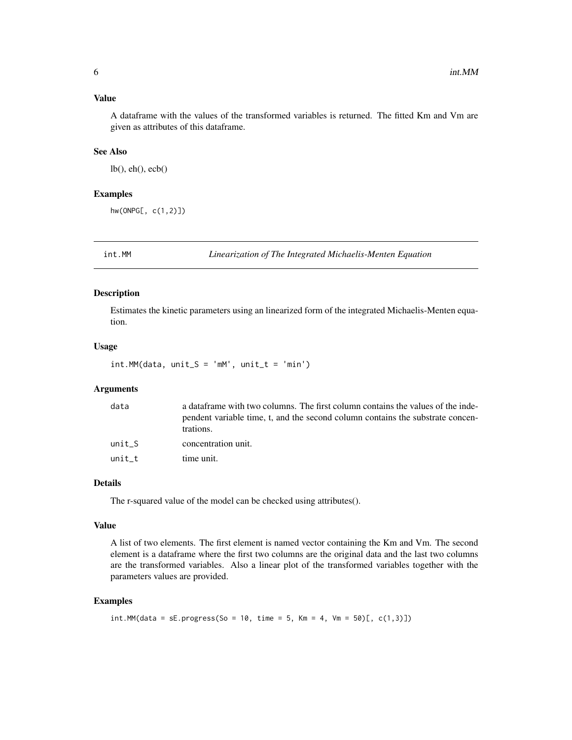#### <span id="page-5-0"></span>Value

A dataframe with the values of the transformed variables is returned. The fitted Km and Vm are given as attributes of this dataframe.

#### See Also

lb(), eh(), ecb()

#### Examples

hw(ONPG[, c(1,2)])

int.MM *Linearization of The Integrated Michaelis-Menten Equation*

#### Description

Estimates the kinetic parameters using an linearized form of the integrated Michaelis-Menten equation.

#### Usage

 $int.MM(data, unit_S = 'mM', unit_t = 'min')$ 

#### **Arguments**

| data   | a dataframe with two columns. The first column contains the values of the inde-<br>pendent variable time, t, and the second column contains the substrate concen-<br>trations. |
|--------|--------------------------------------------------------------------------------------------------------------------------------------------------------------------------------|
| unit S | concentration unit.                                                                                                                                                            |
| unit t | time unit.                                                                                                                                                                     |

#### Details

The r-squared value of the model can be checked using attributes().

#### Value

A list of two elements. The first element is named vector containing the Km and Vm. The second element is a dataframe where the first two columns are the original data and the last two columns are the transformed variables. Also a linear plot of the transformed variables together with the parameters values are provided.

#### Examples

```
int.M((data = sE.progress(So = 10, time = 5, Km = 4,Vm = 50)[, c(1,3)])
```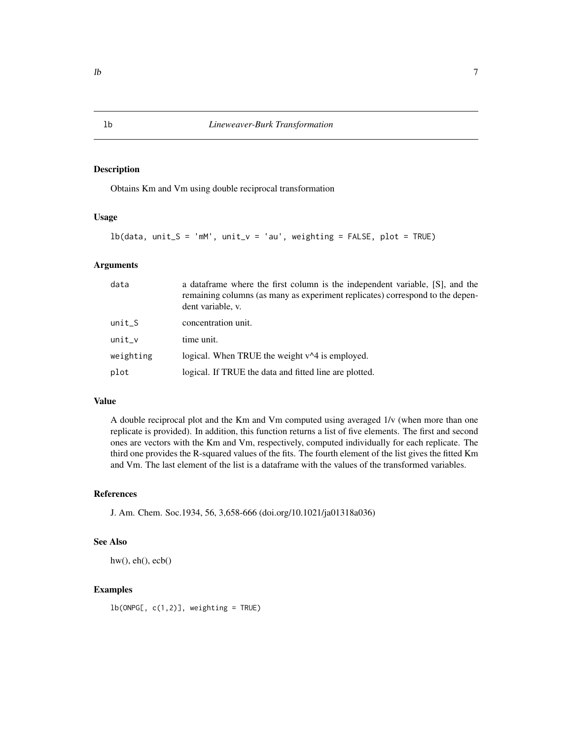#### Description

Obtains Km and Vm using double reciprocal transformation

#### Usage

```
lb(data, unit_S = 'mM', unit_v = 'au', weighting = FALSE, plot = TRUE)
```
#### Arguments

| data      | a data frame where the first column is the independent variable, [S], and the<br>remaining columns (as many as experiment replicates) correspond to the depen-<br>dent variable, v. |
|-----------|-------------------------------------------------------------------------------------------------------------------------------------------------------------------------------------|
| $unit_S$  | concentration unit.                                                                                                                                                                 |
| $unit_v$  | time unit.                                                                                                                                                                          |
| weighting | logical. When TRUE the weight v <sup><math>\triangle</math>4</sup> is employed.                                                                                                     |
| plot      | logical. If TRUE the data and fitted line are plotted.                                                                                                                              |

#### Value

A double reciprocal plot and the Km and Vm computed using averaged 1/v (when more than one replicate is provided). In addition, this function returns a list of five elements. The first and second ones are vectors with the Km and Vm, respectively, computed individually for each replicate. The third one provides the R-squared values of the fits. The fourth element of the list gives the fitted Km and Vm. The last element of the list is a dataframe with the values of the transformed variables.

#### References

J. Am. Chem. Soc.1934, 56, 3,658-666 (doi.org/10.1021/ja01318a036)

#### See Also

 $hw(), eh(), ecb()$ 

#### Examples

 $lb(ONPG[, c(1,2)], weighting = TRUE)$ 

<span id="page-6-0"></span>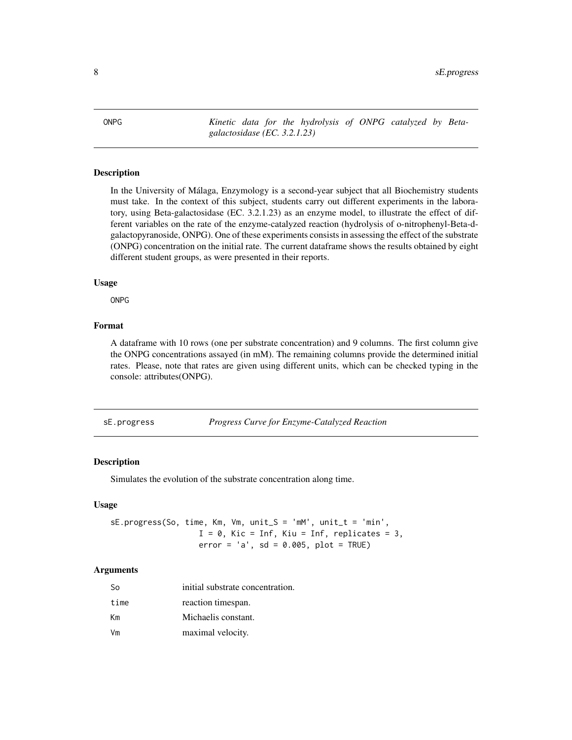<span id="page-7-0"></span>ONPG *Kinetic data for the hydrolysis of ONPG catalyzed by Betagalactosidase (EC. 3.2.1.23)*

#### Description

In the University of Málaga, Enzymology is a second-year subject that all Biochemistry students must take. In the context of this subject, students carry out different experiments in the laboratory, using Beta-galactosidase (EC. 3.2.1.23) as an enzyme model, to illustrate the effect of different variables on the rate of the enzyme-catalyzed reaction (hydrolysis of o-nitrophenyl-Beta-dgalactopyranoside, ONPG). One of these experiments consists in assessing the effect of the substrate (ONPG) concentration on the initial rate. The current dataframe shows the results obtained by eight different student groups, as were presented in their reports.

#### Usage

ONPG

#### Format

A dataframe with 10 rows (one per substrate concentration) and 9 columns. The first column give the ONPG concentrations assayed (in mM). The remaining columns provide the determined initial rates. Please, note that rates are given using different units, which can be checked typing in the console: attributes(ONPG).

sE.progress *Progress Curve for Enzyme-Catalyzed Reaction*

#### Description

Simulates the evolution of the substrate concentration along time.

#### Usage

sE.progress(So, time, Km, Vm, unit\_S = 'mM', unit\_t = 'min',  $I = 0$ , Kic = Inf, Kiu = Inf, replicates = 3,  $error = 'a', sd = 0.005, plot = TRUE)$ 

#### Arguments

| So   | initial substrate concentration. |
|------|----------------------------------|
| time | reaction timespan.               |
| Кm   | Michaelis constant.              |
| Vm   | maximal velocity.                |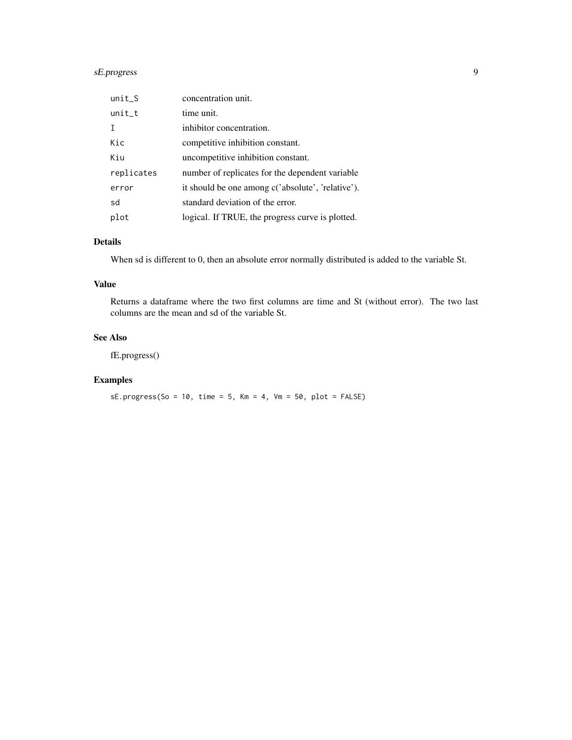#### sE.progress 9

| $unit_S$   | concentration unit.                               |
|------------|---------------------------------------------------|
| $unit_t$   | time unit.                                        |
|            | inhibitor concentration.                          |
| Kic        | competitive inhibition constant.                  |
| Kiu        | uncompetitive inhibition constant.                |
| replicates | number of replicates for the dependent variable   |
| error      | it should be one among c('absolute', 'relative'). |
| sd         | standard deviation of the error.                  |
| plot       | logical. If TRUE, the progress curve is plotted.  |

#### Details

When sd is different to 0, then an absolute error normally distributed is added to the variable St.

#### Value

Returns a dataframe where the two first columns are time and St (without error). The two last columns are the mean and sd of the variable St.

#### See Also

fE.progress()

#### Examples

 $sE.progress(So = 10, time = 5, Km = 4,Vm = 50, plot = FALSE)$